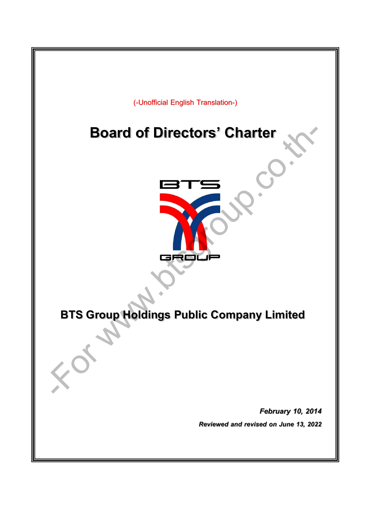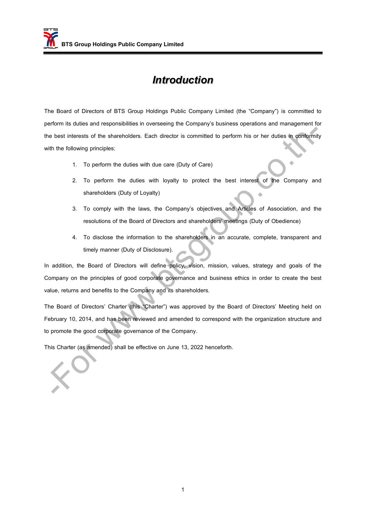#### *Introduction*

The Board of Directors of BTS Group Holdings Public Company Limited (the "Company") is committed to perform its duties and responsibilities in overseeing the Company's business operations and management for the best interests of the shareholders. Each director is committed to perform his or her duties in conformity with the following principles:

- 1. To perform the duties with due care (Duty of Care)
- 2. To perform the duties with loyalty to protect the best interest of the Company and shareholders (Duty of Loyalty)
- 3. To comply with the laws, the Company's objectives and Articles of Association, and the resolutions of the Board of Directors and shareholders' meetings (Duty of Obedience)
- 4. To disclose the information to the shareholders in an accurate, complete, transparent and timely manner (Duty of Disclosure).

In addition, the Board of Directors will define policy, vision, mission, values, strategy and goals of the Company on the principles of good corporate governance and business ethics in order to create the best value, returns and benefits to the Company and its shareholders.

The Board of Directors' Charter (this "Charter") was approved by the Board of Directors' Meeting held on February 10, 2014, and has been reviewed and amended to correspond with the organization structure and to promote the good corporate governance of the Company. best interests of the shareholders. Each director is committed to perform his or her duties in conformit the following principles:<br>
1. To perform the duties with due care (Duty of Care)<br>
2. To perform the duties with loyal

This Charter (as amended) shall be effective on June 13, 2022 henceforth.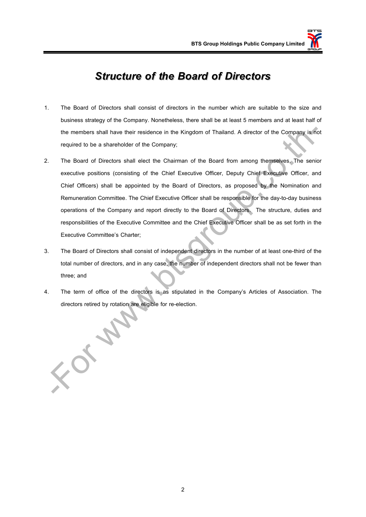#### *Structure of the Board of Directors*

- 1. The Board of Directors shall consist of directors in the number which are suitable to the size and business strategy of the Company. Nonetheless, there shall be at least 5 members and at least half of the members shall have their residence in the Kingdom of Thailand. A director of the Company is not required to be a shareholder of the Company;
- 2. The Board of Directors shall elect the Chairman of the Board from among themselves. The senior executive positions (consisting of the Chief Executive Officer, Deputy Chief Executive Officer, and Chief Officers) shall be appointed by the Board of Directors, as proposed by the Nomination and Remuneration Committee. The Chief Executive Officer shall be responsible for the day-to-day business operations of the Company and report directly to the Board of Directors. The structure, duties and responsibilities of the Executive Committee and the Chief Executive Officer shall be as set forth in the Executive Committee's Charter; the members shall have their residence in the Kingdom of Thailand. A director of the Company is not required to be a shareholder of the Company;<br>The Board of Directors shall elect the Chairman of the Board from among thems
- 3. The Board of Directors shall consist of independent directors in the number of at least one-third of the total number of directors, and in any case, the number of independent directors shall not be fewer than three; and
- 4. The term of office of the directors is as stipulated in the Company's Articles of Association. The directors retired by rotation are eligible for re-election.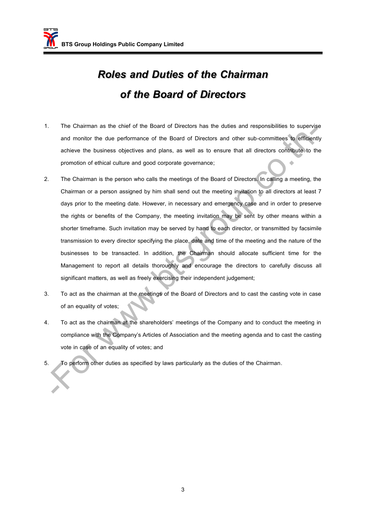# *Roles and Duties of the Chairman of the Board of Directors*

- 1. The Chairman as the chief of the Board of Directors has the duties and responsibilities to supervise and monitor the due performance of the Board of Directors and other sub-committees to efficiently achieve the business objectives and plans, as well as to ensure that all directors contribute to the promotion of ethical culture and good corporate governance;
- 2. The Chairman is the person who calls the meetings of the Board of Directors. In calling a meeting, the Chairman or a person assigned by him shall send out the meeting invitation to all directors at least 7 days prior to the meeting date. However, in necessary and emergency case and in order to preserve the rights or benefits of the Company, the meeting invitation may be sent by other means within a shorter timeframe. Such invitation may be served by hand to each director, or transmitted by facsimile transmission to every director specifying the place, date and time of the meeting and the nature of the businesses to be transacted. In addition, the Chairman should allocate sufficient time for the Management to report all details thoroughly and encourage the directors to carefully discuss all significant matters, as well as freely exercising their independent judgement; For which control of the Board of University and the meetings of the Chairman.<br>The column and monitor the due performance of the Board of Directors and other sub-committees to efficient<br>achieve the business objectives and
- 3. To act as the chairman at the meetings of the Board of Directors and to cast the casting vote in case of an equality of votes;
- 4. To act as the chairman at the shareholders' meetings of the Company and to conduct the meeting in compliance with the Company's Articles of Association and the meeting agenda and to cast the casting vote in case of an equality of votes; and
- 5. To perform other duties as specified by laws particularly as the duties of the Chairman.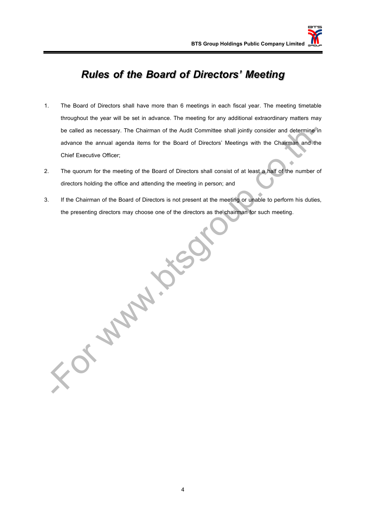### *Rules of the Board of Directors' Meeting*

- 1. The Board of Directors shall have more than 6 meetings in each fiscal year. The meeting timetable throughout the year will be set in advance. The meeting for any additional extraordinary matters may be called as necessary. The Chairman of the Audit Committee shall jointly consider and determine in advance the annual agenda items for the Board of Directors' Meetings with the Chairman and the Chief Executive Officer;
- 2. The quorum for the meeting of the Board of Directors shall consist of at least a half of the number of directors holding the office and attending the meeting in person; and
- 3. If the Chairman of the Board of Directors is not present at the meeting or unable to perform his duties, the presenting directors may choose one of the directors as the chairman for such meeting.

-Formal Control

4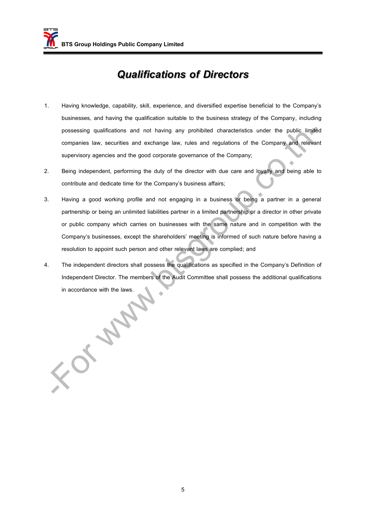#### *Qualifications of Directors*

- 1. Having knowledge, capability, skill, experience, and diversified expertise beneficial to the Company's businesses, and having the qualification suitable to the business strategy of the Company, including possessing qualifications and not having any prohibited characteristics under the public limited companies law, securities and exchange law, rules and regulations of the Company and relevant supervisory agencies and the good corporate governance of the Company;
- 2. Being independent, performing the duty of the director with due care and loyalty and being able to contribute and dedicate time for the Company's business affairs;
- 3. Having a good working profile and not engaging in a business or being a partner in a general partnership or being an unlimited liabilities partner in a limited partnership or a director in other private or public company which carries on businesses with the same nature and in competition with the Company's businesses, except the shareholders' meeting is informed of such nature before having a resolution to appoint such person and other relevant laws are complied; and possessing qualifications and not having any prohibited characteristics under the public limitial<br>companies law, securities and exchange law, rules and regulations of the Company<br>supervisory agencies and the good corporate
- 4. The independent directors shall possess the qualifications as specified in the Company's Definition of Independent Director. The members of the Audit Committee shall possess the additional qualifications in accordance with the laws.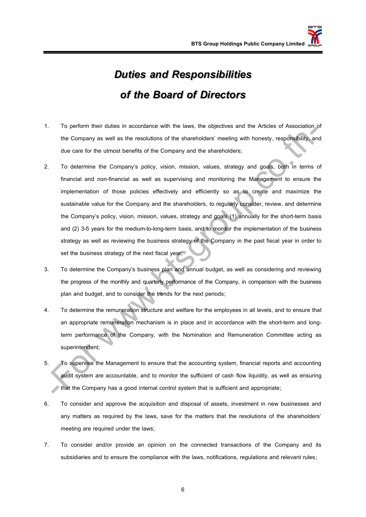## *Duties and Responsibilities of the Board of Directors*

- 1. To perform their duties in accordance with the laws, the objectives and the Articles of Association of the Company as well as the resolutions of the shareholders' meeting with honesty, responsibility, and due care for the utmost benefits of the Company and the shareholders;
- 2. To determine the Company's policy, vision, mission, values, strategy and goals, both in terms of financial and non-financial as well as supervising and monitoring the Management to ensure the implementation of those policies effectively and efficiently so as to create and maximize the sustainable value for the Company and the shareholders, to regularly consider, review, and determine the Company's policy, vision, mission, values, strategy and goals (1) annually for the short-term basis and (2) 3-5 years for the medium-to-long-term basis, and to monitor the implementation of the business strategy as well as reviewing the business strategy of the Company in the past fiscal year in order to set the business strategy of the next fiscal year; For performance with the terms, are objected to the company as well as the restortion of the shareholders' meeling with honesty, responsibility, and<br>the Company as well as the resolutions of the shareholders' meeling with
- 3. To determine the Company's business plan and annual budget, as well as considering and reviewing the progress of the monthly and quarterly performance of the Company, in comparison with the business plan and budget, and to consider the trends for the next periods;
- 4. To determine the remuneration structure and welfare for the employees in all levels, and to ensure that an appropriate remuneration mechanism is in place and in accordance with the short-term and longterm performance of the Company, with the Nomination and Remuneration Committee acting as superintendent;
- 5. To supervise the Management to ensure that the accounting system, financial reports and accounting audit system are accountable, and to monitor the sufficient of cash flow liquidity, as well as ensuring that the Company has a good internal control system that is sufficient and appropriate;
- 6. To consider and approve the acquisition and disposal of assets, investment in new businesses and any matters as required by the laws, save for the matters that the resolutions of the shareholders' meeting are required under the laws;
- 7. To consider and/or provide an opinion on the connected transactions of the Company and its subsidiaries and to ensure the compliance with the laws, notifications, regulations and relevant rules;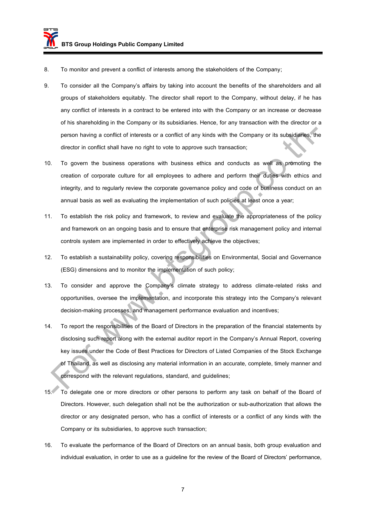- 8. To monitor and prevent a conflict of interests among the stakeholders of the Company;
- 9. To consider all the Company's affairs by taking into account the benefits of the shareholders and all groups of stakeholders equitably. The director shall report to the Company, without delay, if he has any conflict of interests in a contract to be entered into with the Company or an increase or decrease of his shareholding in the Company or its subsidiaries. Hence, for any transaction with the director or a person having a conflict of interests or a conflict of any kinds with the Company or its subsidiaries, the director in conflict shall have no right to vote to approve such transaction;
- 10. To govern the business operations with business ethics and conducts as well as promoting the creation of corporate culture for all employees to adhere and perform their duties with ethics and integrity, and to regularly review the corporate governance policy and code of business conduct on an annual basis as well as evaluating the implementation of such policies at least once a year;
- 11. To establish the risk policy and framework, to review and evaluate the appropriateness of the policy and framework on an ongoing basis and to ensure that enterprise risk management policy and internal controls system are implemented in order to effectively achieve the objectives;
- 12. To establish a sustainability policy, covering responsibilities on Environmental, Social and Governance (ESG) dimensions and to monitor the implementation of such policy;
- 13. To consider and approve the Company's climate strategy to address climate-related risks and opportunities, oversee the implementation, and incorporate this strategy into the Company's relevant decision-making processes, and management performance evaluation and incentives;
- 14. To report the responsibilities of the Board of Directors in the preparation of the financial statements by disclosing such report along with the external auditor report in the Company's Annual Report, covering key issues under the Code of Best Practices for Directors of Listed Companies of the Stock Exchange of Thailand, as well as disclosing any material information in an accurate, complete, timely manner and correspond with the relevant regulations, standard, and guidelines; parson having a conflict of interests or a conflict of any kinds with the Company or its subsidiaries. The director in conflict shall have no right to vote to approve such transaction;<br>
To govern the business operations wi
- 15. To delegate one or more directors or other persons to perform any task on behalf of the Board of Directors. However, such delegation shall not be the authorization or sub-authorization that allows the director or any designated person, who has a conflict of interests or a conflict of any kinds with the Company or its subsidiaries, to approve such transaction;
- 16. To evaluate the performance of the Board of Directors on an annual basis, both group evaluation and individual evaluation, in order to use as a guideline for the review of the Board of Directors' performance,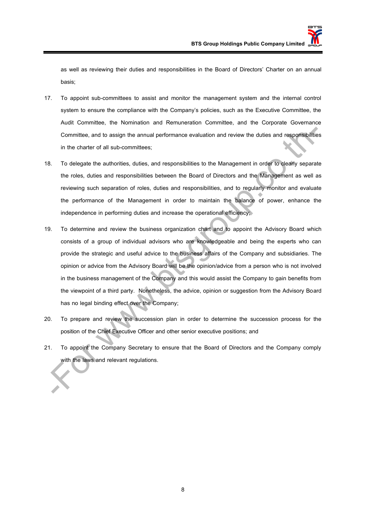as well as reviewing their duties and responsibilities in the Board of Directors' Charter on an annual basis;

- 17. To appoint sub-committees to assist and monitor the management system and the internal control system to ensure the compliance with the Company's policies, such as the Executive Committee, the Audit Committee, the Nomination and Remuneration Committee, and the Corporate Governance Committee, and to assign the annual performance evaluation and review the duties and responsibilities in the charter of all sub-committees;
- 18. To delegate the authorities, duties, and responsibilities to the Management in order to clearly separate the roles, duties and responsibilities between the Board of Directors and the Management as well as reviewing such separation of roles, duties and responsibilities, and to regularly monitor and evaluate the performance of the Management in order to maintain the balance of power, enhance the independence in performing duties and increase the operational efficiency;
- 19. To determine and review the business organization chart and to appoint the Advisory Board which consists of a group of individual advisors who are knowledgeable and being the experts who can provide the strategic and useful advice to the business affairs of the Company and subsidiaries. The opinion or advice from the Advisory Board will be the opinion/advice from a person who is not involved in the business management of the Company and this would assist the Company to gain benefits from the viewpoint of a third party. Nonetheless, the advice, opinion or suggestion from the Advisory Board has no legal binding effect over the Company; Committee, and to assign the annual performance evaluation and review the duties and responsibilities<br>in the charter of all sub-committees;<br>To delegate the authorities, duties, and responsibilities to the Management in ord
- 20. To prepare and review the succession plan in order to determine the succession process for the position of the Chief Executive Officer and other senior executive positions; and
- 21. To appoint the Company Secretary to ensure that the Board of Directors and the Company comply with the laws and relevant regulations.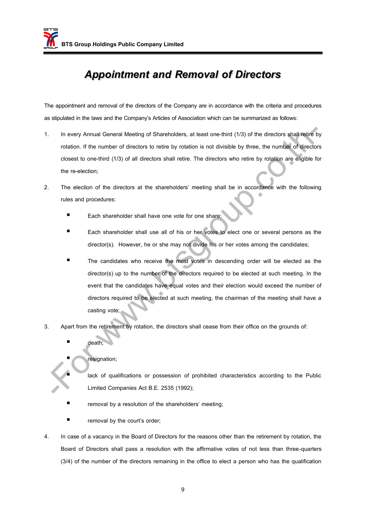### *Appointment and Removal of Directors*

The appointment and removal of the directors of the Company are in accordance with the criteria and procedures as stipulated in the laws and the Company's Articles of Association which can be summarized as follows:

- 1. In every Annual General Meeting of Shareholders, at least one-third (1/3) of the directors shall retire by rotation. If the number of directors to retire by rotation is not divisible by three, the number of directors closest to one-third (1/3) of all directors shall retire. The directors who retire by rotation are eligible for the re-election;
- 2. The election of the directors at the shareholders' meeting shall be in accordance with the following rules and procedures:
	- Each shareholder shall have one vote for one share;
	- Each shareholder shall use all of his or her votes to elect one or several persons as the director(s). However, he or she may not divide his or her votes among the candidates;
- The candidates who receive the most votes in descending order will be elected as the director(s) up to the number of the directors required to be elected at such meeting. In the event that the candidates have equal votes and their election would exceed the number of directors required to be elected at such meeting, the chairman of the meeting shall have a casting vote; The every Annual General Meeting of Shareholders, at least one-third (1/3) of the directors shall reline totation. If the number of directors to retire by rotation is not divisible by three, the number of directors of the
- 3. Apart from the retirement by rotation, the directors shall cease from their office on the grounds of:
	- death;
		- resignation;
		- lack of qualifications or possession of prohibited characteristics according to the Public Limited Companies Act B.E. 2535 (1992);
	- removal by a resolution of the shareholders' meeting;
	- removal by the court's order;
- 4. In case of a vacancy in the Board of Directors for the reasons other than the retirement by rotation, the Board of Directors shall pass a resolution with the affirmative votes of not less than three-quarters (3/4) of the number of the directors remaining in the office to elect a person who has the qualification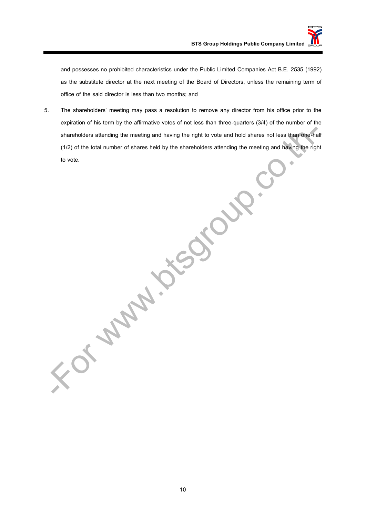and possesses no prohibited characteristics under the Public Limited Companies Act B.E. 2535 (1992) as the substitute director at the next meeting of the Board of Directors, unless the remaining term of office of the said director is less than two months; and

5. The shareholders' meeting may pass a resolution to remove any director from his office prior to the expiration of his term by the affirmative votes of not less than three-quarters (3/4) of the number of the shareholders attending the meeting and having the right to vote and hold shares not less than one-half (1/2) of the total number of shares held by the shareholders attending the meeting and having the right to vote.

or was in the way